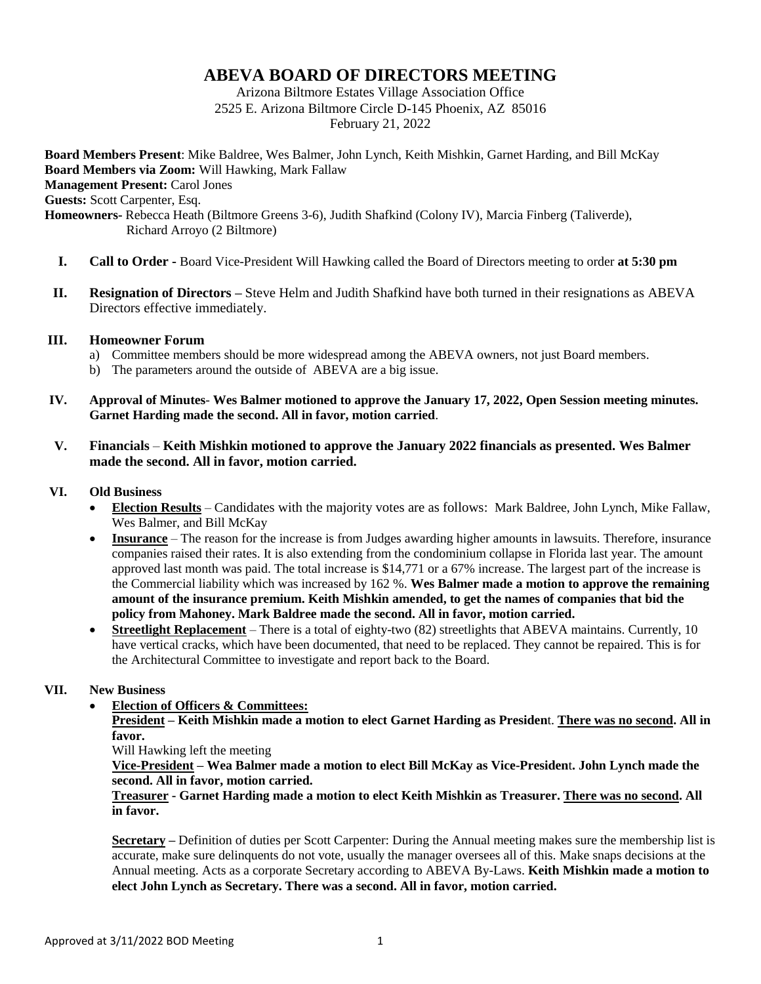# **ABEVA BOARD OF DIRECTORS MEETING**

Arizona Biltmore Estates Village Association Office 2525 E. Arizona Biltmore Circle D-145 Phoenix, AZ 85016 February 21, 2022

**Board Members Present**: Mike Baldree, Wes Balmer, John Lynch, Keith Mishkin, Garnet Harding, and Bill McKay **Board Members via Zoom:** Will Hawking, Mark Fallaw **Management Present: Carol Jones Guests:** Scott Carpenter, Esq. **Homeowners-** Rebecca Heath (Biltmore Greens 3-6), Judith Shafkind (Colony IV), Marcia Finberg (Taliverde), Richard Arroyo (2 Biltmore)

- **I. Call to Order -** Board Vice-President Will Hawking called the Board of Directors meeting to order **at 5:30 pm**
- **II. Resignation of Directors –** Steve Helm and Judith Shafkind have both turned in their resignations as ABEVA Directors effective immediately.

#### **III. Homeowner Forum**

- a) Committee members should be more widespread among the ABEVA owners, not just Board members.
- b) The parameters around the outside of ABEVA are a big issue.
- **IV. Approval of Minutes Wes Balmer motioned to approve the January 17, 2022, Open Session meeting minutes. Garnet Harding made the second. All in favor, motion carried**.

### **V. Financials** – **Keith Mishkin motioned to approve the January 2022 financials as presented. Wes Balmer made the second. All in favor, motion carried.**

#### **VI. Old Business**

- **Election Results** Candidates with the majority votes are as follows: Mark Baldree, John Lynch, Mike Fallaw, Wes Balmer, and Bill McKay
- **Insurance** The reason for the increase is from Judges awarding higher amounts in lawsuits. Therefore, insurance companies raised their rates. It is also extending from the condominium collapse in Florida last year. The amount approved last month was paid. The total increase is \$14,771 or a 67% increase. The largest part of the increase is the Commercial liability which was increased by 162 %. **Wes Balmer made a motion to approve the remaining amount of the insurance premium. Keith Mishkin amended, to get the names of companies that bid the policy from Mahoney. Mark Baldree made the second. All in favor, motion carried.**
- **Streetlight Replacement** There is a total of eighty-two (82) streetlights that ABEVA maintains. Currently, 10 have vertical cracks, which have been documented, that need to be replaced. They cannot be repaired. This is for the Architectural Committee to investigate and report back to the Board.

## **VII. New Business**

**Election of Officers & Committees:**

**President – Keith Mishkin made a motion to elect Garnet Harding as Presiden**t. **There was no second. All in favor.** 

Will Hawking left the meeting

**Vice-President – Wea Balmer made a motion to elect Bill McKay as Vice-Presiden**t**. John Lynch made the second. All in favor, motion carried.**

#### **Treasurer - Garnet Harding made a motion to elect Keith Mishkin as Treasurer. There was no second. All in favor.**

**Secretary –** Definition of duties per Scott Carpenter: During the Annual meeting makes sure the membership list is accurate, make sure delinquents do not vote, usually the manager oversees all of this. Make snaps decisions at the Annual meeting. Acts as a corporate Secretary according to ABEVA By-Laws. **Keith Mishkin made a motion to elect John Lynch as Secretary. There was a second. All in favor, motion carried.**